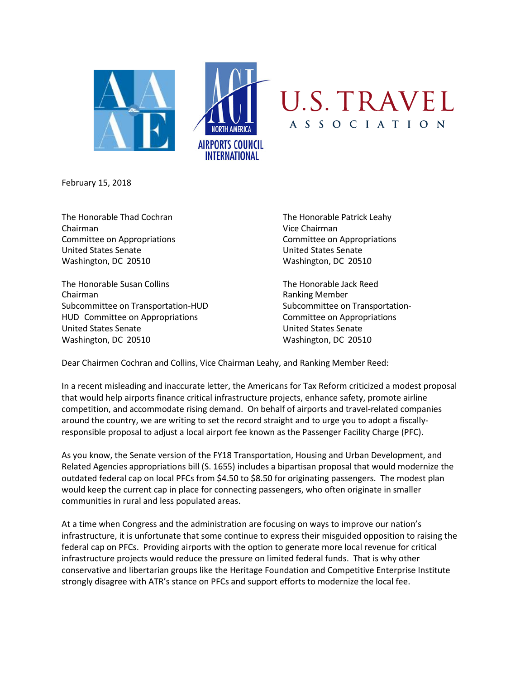

February 15, 2018

The Honorable Thad Cochran The Honorable Patrick Leahy Chairman Vice Chairman Committee on Appropriations Committee on Appropriations United States Senate United States Senate Washington, DC 20510 Washington, DC 20510

The Honorable Susan Collins The Honorable Jack Reed Chairman **Ranking Member** Ranking Member Subcommittee on Transportation-HUD Subcommittee on Transportation-HUD Committee on Appropriations **Committee on Appropriations** United States Senate United States Senate Washington, DC 20510 Washington, DC 20510

Dear Chairmen Cochran and Collins, Vice Chairman Leahy, and Ranking Member Reed:

In a recent misleading and inaccurate letter, the Americans for Tax Reform criticized a modest proposal that would help airports finance critical infrastructure projects, enhance safety, promote airline competition, and accommodate rising demand. On behalf of airports and travel-related companies around the country, we are writing to set the record straight and to urge you to adopt a fiscallyresponsible proposal to adjust a local airport fee known as the Passenger Facility Charge (PFC).

As you know, the Senate version of the FY18 Transportation, Housing and Urban Development, and Related Agencies appropriations bill (S. 1655) includes a bipartisan proposal that would modernize the outdated federal cap on local PFCs from \$4.50 to \$8.50 for originating passengers. The modest plan would keep the current cap in place for connecting passengers, who often originate in smaller communities in rural and less populated areas.

At a time when Congress and the administration are focusing on ways to improve our nation's infrastructure, it is unfortunate that some continue to express their misguided opposition to raising the federal cap on PFCs. Providing airports with the option to generate more local revenue for critical infrastructure projects would reduce the pressure on limited federal funds. That is why other conservative and libertarian groups like the Heritage Foundation and Competitive Enterprise Institute strongly disagree with ATR's stance on PFCs and support efforts to modernize the local fee.